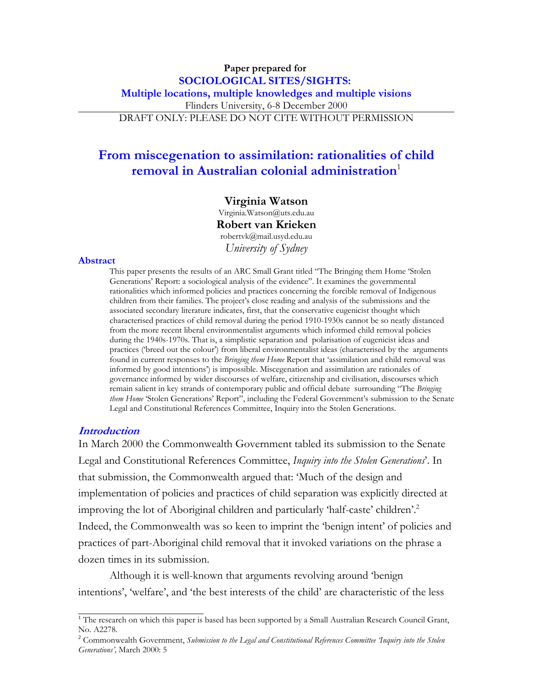## **Paper prepared for SOCIOLOGICAL SITES/SIGHTS: Multiple locations, multiple knowledges and multiple visions** Flinders University, 6-8 December 2000 DRAFT ONLY: PLEASE DO NOT CITE WITHOUT PERMISSION

# **From miscegenation to assimilation: rationalities of child removal in Australian colonial administration**<sup>1</sup>

#### **Virginia Watson**

Virginia.Watson@uts.edu.au **Robert van Krieken** robertvk@mail.usyd.edu.au *University of Sydney*

#### **Abstract**

This paper presents the results of an ARC Small Grant titled "The Bringing them Home 'Stolen Generations' Report: a sociological analysis of the evidence". It examines the governmental rationalities which informed policies and practices concerning the forcible removal of Indigenous children from their families. The project's close reading and analysis of the submissions and the associated secondary literature indicates, first, that the conservative eugenicist thought which characterised practices of child removal during the period 1910-1930s cannot be so neatly distanced from the more recent liberal environmentalist arguments which informed child removal policies during the 1940s-1970s. That is, a simplistic separation and polarisation of eugenicist ideas and practices ('breed out the colour') from liberal environmentalist ideas (characterised by the arguments found in current responses to the *Bringing them Home* Report that 'assimilation and child removal was informed by good intentions') is impossible. Miscegenation and assimilation are rationales of governance informed by wider discourses of welfare, citizenship and civilisation, discourses which remain salient in key strands of contemporary public and official debate surrounding "The *Bringing them Home* 'Stolen Generations' Report", including the Federal Government's submission to the Senate Legal and Constitutional References Committee, Inquiry into the Stolen Generations.

### **Introduction**

In March 2000 the Commonwealth Government tabled its submission to the Senate Legal and Constitutional References Committee, *Inquiry into the Stolen Generations*'. In that submission, the Commonwealth argued that: 'Much of the design and implementation of policies and practices of child separation was explicitly directed at improving the lot of Aboriginal children and particularly 'half-caste' children'.2 Indeed, the Commonwealth was so keen to imprint the 'benign intent' of policies and practices of part-Aboriginal child removal that it invoked variations on the phrase a dozen times in its submission.

Although it is well-known that arguments revolving around 'benign intentions', 'welfare', and 'the best interests of the child' are characteristic of the less

<sup>&</sup>lt;sup>1</sup> The research on which this paper is based has been supported by a Small Australian Research Council Grant, No. A2278.

<sup>2</sup> Commonwealth Government, *Submission to the Legal and Constitutional References Committee 'Inquiry into the Stolen Generations',* March 2000: 5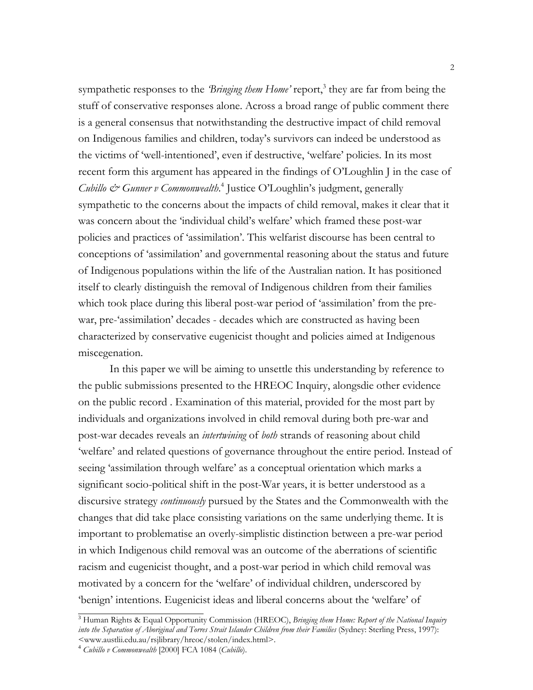sympathetic responses to the *'Bringing them Home'* report,<sup>3</sup> they are far from being the stuff of conservative responses alone. Across a broad range of public comment there is a general consensus that notwithstanding the destructive impact of child removal on Indigenous families and children, today's survivors can indeed be understood as the victims of 'well-intentioned', even if destructive, 'welfare' policies. In its most recent form this argument has appeared in the findings of O'Loughlin J in the case of *Cubillo & Gunner v Commonwealth*. 4 Justice O'Loughlin's judgment, generally sympathetic to the concerns about the impacts of child removal, makes it clear that it was concern about the 'individual child's welfare' which framed these post-war policies and practices of 'assimilation'. This welfarist discourse has been central to conceptions of 'assimilation' and governmental reasoning about the status and future of Indigenous populations within the life of the Australian nation. It has positioned itself to clearly distinguish the removal of Indigenous children from their families which took place during this liberal post-war period of 'assimilation' from the prewar, pre-'assimilation' decades - decades which are constructed as having been characterized by conservative eugenicist thought and policies aimed at Indigenous miscegenation.

In this paper we will be aiming to unsettle this understanding by reference to the public submissions presented to the HREOC Inquiry, alongsdie other evidence on the public record . Examination of this material, provided for the most part by individuals and organizations involved in child removal during both pre-war and post-war decades reveals an *intertwining* of *both* strands of reasoning about child 'welfare' and related questions of governance throughout the entire period. Instead of seeing 'assimilation through welfare' as a conceptual orientation which marks a significant socio-political shift in the post-War years, it is better understood as a discursive strategy *continuously* pursued by the States and the Commonwealth with the changes that did take place consisting variations on the same underlying theme. It is important to problematise an overly-simplistic distinction between a pre-war period in which Indigenous child removal was an outcome of the aberrations of scientific racism and eugenicist thought, and a post-war period in which child removal was motivated by a concern for the 'welfare' of individual children, underscored by 'benign' intentions. Eugenicist ideas and liberal concerns about the 'welfare' of

<sup>3</sup> Human Rights & Equal Opportunity Commission (HREOC), *Bringing them Home: Report of the National Inquiry into the Separation of Aboriginal and Torres Strait Islander Children from their Families* (Sydney: Sterling Press, 1997): <www.austlii.edu.au/rsjlibrary/hreoc/stolen/index.html>.

<sup>4</sup> *Cubillo v Commonwealth* [2000] FCA 1084 (*Cubillo*).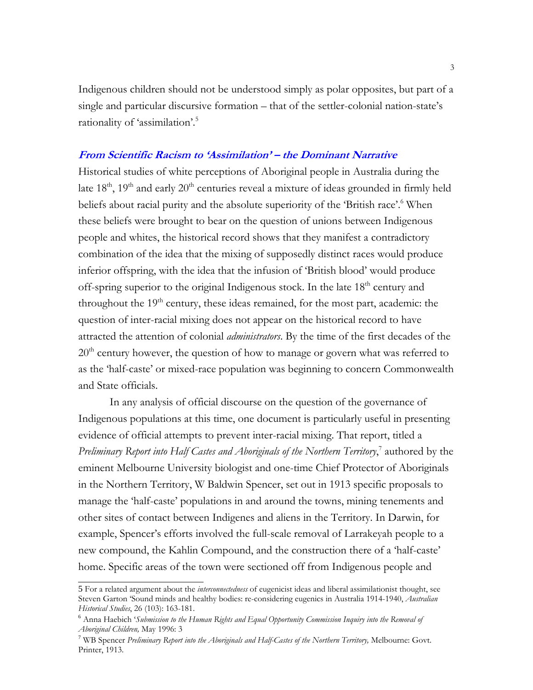Indigenous children should not be understood simply as polar opposites, but part of a single and particular discursive formation – that of the settler-colonial nation-state's rationality of 'assimilation'.5

### **From Scientific Racism to 'Assimilation' – the Dominant Narrative**

Historical studies of white perceptions of Aboriginal people in Australia during the late  $18<sup>th</sup>$ ,  $19<sup>th</sup>$  and early  $20<sup>th</sup>$  centuries reveal a mixture of ideas grounded in firmly held beliefs about racial purity and the absolute superiority of the 'British race'.<sup>6</sup> When these beliefs were brought to bear on the question of unions between Indigenous people and whites, the historical record shows that they manifest a contradictory combination of the idea that the mixing of supposedly distinct races would produce inferior offspring, with the idea that the infusion of 'British blood' would produce off-spring superior to the original Indigenous stock. In the late 18<sup>th</sup> century and throughout the  $19<sup>th</sup>$  century, these ideas remained, for the most part, academic: the question of inter-racial mixing does not appear on the historical record to have attracted the attention of colonial *administrators*. By the time of the first decades of the 20<sup>th</sup> century however, the question of how to manage or govern what was referred to as the 'half-caste' or mixed-race population was beginning to concern Commonwealth and State officials.

In any analysis of official discourse on the question of the governance of Indigenous populations at this time, one document is particularly useful in presenting evidence of official attempts to prevent inter-racial mixing. That report, titled a *Preliminary Report into Half Castes and Aboriginals of the Northern Territory*, 7 authored by the eminent Melbourne University biologist and one-time Chief Protector of Aboriginals in the Northern Territory, W Baldwin Spencer, set out in 1913 specific proposals to manage the 'half-caste' populations in and around the towns, mining tenements and other sites of contact between Indigenes and aliens in the Territory. In Darwin, for example, Spencer's efforts involved the full-scale removal of Larrakeyah people to a new compound, the Kahlin Compound, and the construction there of a 'half-caste' home. Specific areas of the town were sectioned off from Indigenous people and

<sup>5</sup> For a related argument about the *interconnectedness* of eugenicist ideas and liberal assimilationist thought, see Steven Garton 'Sound minds and healthy bodies: re-considering eugenics in Australia 1914-1940, *Australian Historical Studies*, 26 (103): 163-181.

<sup>6</sup> Anna Haebich '*Submission to the Human Rights and Equal Opportunity Commission Inquiry into the Removal of Aboriginal Children,* May 1996: 3

<sup>7</sup> WB Spencer *Preliminary Report into the Aboriginals and Half-Castes of the Northern Territory,* Melbourne: Govt. Printer, 1913.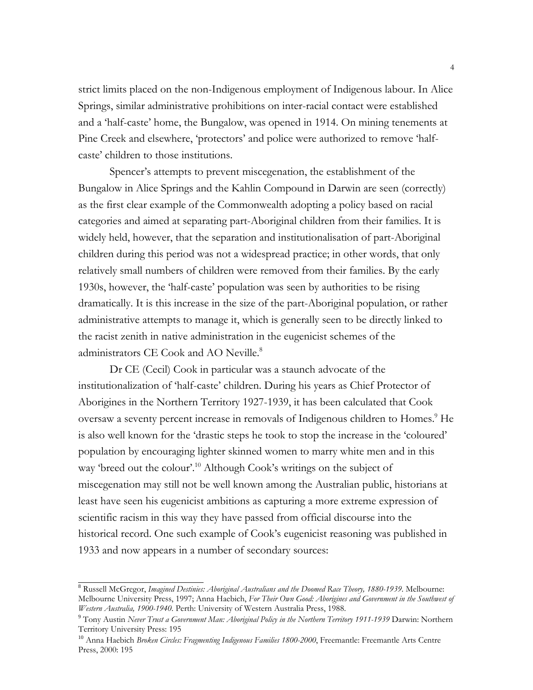strict limits placed on the non-Indigenous employment of Indigenous labour. In Alice Springs, similar administrative prohibitions on inter-racial contact were established and a 'half-caste' home, the Bungalow, was opened in 1914. On mining tenements at Pine Creek and elsewhere, 'protectors' and police were authorized to remove 'halfcaste' children to those institutions.

Spencer's attempts to prevent miscegenation, the establishment of the Bungalow in Alice Springs and the Kahlin Compound in Darwin are seen (correctly) as the first clear example of the Commonwealth adopting a policy based on racial categories and aimed at separating part-Aboriginal children from their families. It is widely held, however, that the separation and institutionalisation of part-Aboriginal children during this period was not a widespread practice; in other words, that only relatively small numbers of children were removed from their families. By the early 1930s, however, the 'half-caste' population was seen by authorities to be rising dramatically. It is this increase in the size of the part-Aboriginal population, or rather administrative attempts to manage it, which is generally seen to be directly linked to the racist zenith in native administration in the eugenicist schemes of the administrators CE Cook and AO Neville.<sup>8</sup>

Dr CE (Cecil) Cook in particular was a staunch advocate of the institutionalization of 'half-caste' children. During his years as Chief Protector of Aborigines in the Northern Territory 1927-1939, it has been calculated that Cook oversaw a seventy percent increase in removals of Indigenous children to Homes.<sup>9</sup> He is also well known for the 'drastic steps he took to stop the increase in the 'coloured' population by encouraging lighter skinned women to marry white men and in this way 'breed out the colour'.<sup>10</sup> Although Cook's writings on the subject of miscegenation may still not be well known among the Australian public, historians at least have seen his eugenicist ambitions as capturing a more extreme expression of scientific racism in this way they have passed from official discourse into the historical record. One such example of Cook's eugenicist reasoning was published in 1933 and now appears in a number of secondary sources:

<sup>8</sup> Russell McGregor, *Imagined Destinies: Aboriginal Australians and the Doomed Race Theory, 1880-1939*. Melbourne: Melbourne University Press, 1997; Anna Haebich, *For Their Own Good: Aborigines and Government in the Southwest of Western Australia, 1900-1940*. Perth: University of Western Australia Press, 1988.

<sup>9</sup> Tony Austin *Never Trust a Government Man: Aboriginal Policy in the Northern Territory 1911-1939* Darwin: Northern Territory University Press: 195

<sup>&</sup>lt;sup>10</sup> Anna Haebich *Broken Circles: Fragmenting Indigenous Families 1800-2000*, Freemantle: Freemantle Arts Centre Press, 2000: 195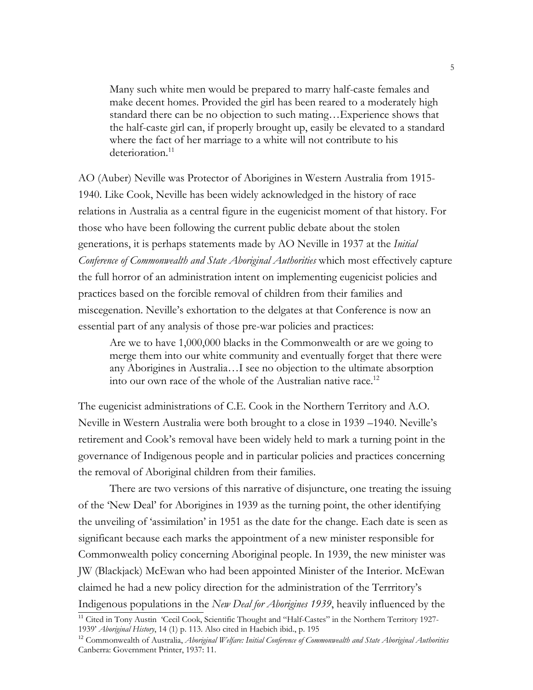Many such white men would be prepared to marry half-caste females and make decent homes. Provided the girl has been reared to a moderately high standard there can be no objection to such mating…Experience shows that the half-caste girl can, if properly brought up, easily be elevated to a standard where the fact of her marriage to a white will not contribute to his deterioration.<sup>11</sup>

AO (Auber) Neville was Protector of Aborigines in Western Australia from 1915- 1940. Like Cook, Neville has been widely acknowledged in the history of race relations in Australia as a central figure in the eugenicist moment of that history. For those who have been following the current public debate about the stolen generations, it is perhaps statements made by AO Neville in 1937 at the *Initial Conference of Commonwealth and State Aboriginal Authorities* which most effectively capture the full horror of an administration intent on implementing eugenicist policies and practices based on the forcible removal of children from their families and miscegenation. Neville's exhortation to the delgates at that Conference is now an essential part of any analysis of those pre-war policies and practices:

Are we to have 1,000,000 blacks in the Commonwealth or are we going to merge them into our white community and eventually forget that there were any Aborigines in Australia…I see no objection to the ultimate absorption into our own race of the whole of the Australian native race.<sup>12</sup>

The eugenicist administrations of C.E. Cook in the Northern Territory and A.O. Neville in Western Australia were both brought to a close in 1939 –1940. Neville's retirement and Cook's removal have been widely held to mark a turning point in the governance of Indigenous people and in particular policies and practices concerning the removal of Aboriginal children from their families.

There are two versions of this narrative of disjuncture, one treating the issuing of the 'New Deal' for Aborigines in 1939 as the turning point, the other identifying the unveiling of 'assimilation' in 1951 as the date for the change. Each date is seen as significant because each marks the appointment of a new minister responsible for Commonwealth policy concerning Aboriginal people. In 1939, the new minister was JW (Blackjack) McEwan who had been appointed Minister of the Interior. McEwan claimed he had a new policy direction for the administration of the Terrritory's Indigenous populations in the *New Deal for Aborigines 1939*, heavily influenced by the

<sup>&</sup>lt;sup>11</sup> Cited in Tony Austin 'Cecil Cook, Scientific Thought and "Half-Castes" in the Northern Territory 1927-1939' *Aboriginal History*, 14 (1) p. 113. Also cited in Haebich ibid., p. 195

<sup>&</sup>lt;sup>12</sup> Commonwealth of Australia, *Aboriginal Welfare: Initial Conference of Commonwealth and State Aboriginal Authorities* Canberra: Government Printer, 1937: 11.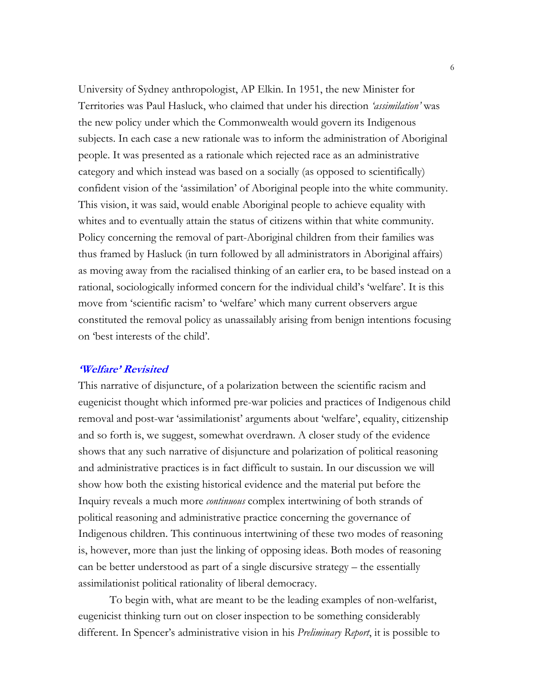University of Sydney anthropologist, AP Elkin. In 1951, the new Minister for Territories was Paul Hasluck, who claimed that under his direction *'assimilation'* was the new policy under which the Commonwealth would govern its Indigenous subjects. In each case a new rationale was to inform the administration of Aboriginal people. It was presented as a rationale which rejected race as an administrative category and which instead was based on a socially (as opposed to scientifically) confident vision of the 'assimilation' of Aboriginal people into the white community. This vision, it was said, would enable Aboriginal people to achieve equality with whites and to eventually attain the status of citizens within that white community. Policy concerning the removal of part-Aboriginal children from their families was thus framed by Hasluck (in turn followed by all administrators in Aboriginal affairs) as moving away from the racialised thinking of an earlier era, to be based instead on a rational, sociologically informed concern for the individual child's 'welfare'. It is this move from 'scientific racism' to 'welfare' which many current observers argue constituted the removal policy as unassailably arising from benign intentions focusing on 'best interests of the child'.

# **'Welfare' Revisited**

This narrative of disjuncture, of a polarization between the scientific racism and eugenicist thought which informed pre-war policies and practices of Indigenous child removal and post-war 'assimilationist' arguments about 'welfare', equality, citizenship and so forth is, we suggest, somewhat overdrawn. A closer study of the evidence shows that any such narrative of disjuncture and polarization of political reasoning and administrative practices is in fact difficult to sustain. In our discussion we will show how both the existing historical evidence and the material put before the Inquiry reveals a much more *continuous* complex intertwining of both strands of political reasoning and administrative practice concerning the governance of Indigenous children. This continuous intertwining of these two modes of reasoning is, however, more than just the linking of opposing ideas. Both modes of reasoning can be better understood as part of a single discursive strategy – the essentially assimilationist political rationality of liberal democracy.

To begin with, what are meant to be the leading examples of non-welfarist, eugenicist thinking turn out on closer inspection to be something considerably different. In Spencer's administrative vision in his *Preliminary Report*, it is possible to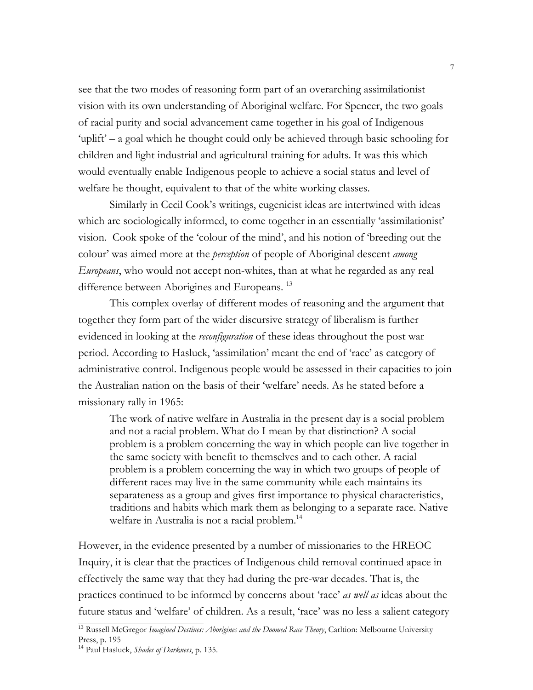see that the two modes of reasoning form part of an overarching assimilationist vision with its own understanding of Aboriginal welfare. For Spencer, the two goals of racial purity and social advancement came together in his goal of Indigenous 'uplift' – a goal which he thought could only be achieved through basic schooling for children and light industrial and agricultural training for adults. It was this which would eventually enable Indigenous people to achieve a social status and level of welfare he thought, equivalent to that of the white working classes.

Similarly in Cecil Cook's writings, eugenicist ideas are intertwined with ideas which are sociologically informed, to come together in an essentially 'assimilationist' vision. Cook spoke of the 'colour of the mind', and his notion of 'breeding out the colour' was aimed more at the *perception* of people of Aboriginal descent *among Europeans*, who would not accept non-whites, than at what he regarded as any real difference between Aborigines and Europeans.<sup>13</sup>

This complex overlay of different modes of reasoning and the argument that together they form part of the wider discursive strategy of liberalism is further evidenced in looking at the *reconfiguration* of these ideas throughout the post war period. According to Hasluck, 'assimilation' meant the end of 'race' as category of administrative control. Indigenous people would be assessed in their capacities to join the Australian nation on the basis of their 'welfare' needs. As he stated before a missionary rally in 1965:

The work of native welfare in Australia in the present day is a social problem and not a racial problem. What do I mean by that distinction? A social problem is a problem concerning the way in which people can live together in the same society with benefit to themselves and to each other. A racial problem is a problem concerning the way in which two groups of people of different races may live in the same community while each maintains its separateness as a group and gives first importance to physical characteristics, traditions and habits which mark them as belonging to a separate race. Native welfare in Australia is not a racial problem.<sup>14</sup>

However, in the evidence presented by a number of missionaries to the HREOC Inquiry, it is clear that the practices of Indigenous child removal continued apace in effectively the same way that they had during the pre-war decades. That is, the practices continued to be informed by concerns about 'race' *as well as* ideas about the future status and 'welfare' of children. As a result, 'race' was no less a salient category

<sup>&</sup>lt;sup>13</sup> Russell McGregor *Imagined Destines: Aborigines and the Doomed Race Theory*, Carltion: Melbourne University Press, p. 195

<sup>14</sup> Paul Hasluck, *Shades of Darkness*, p. 135.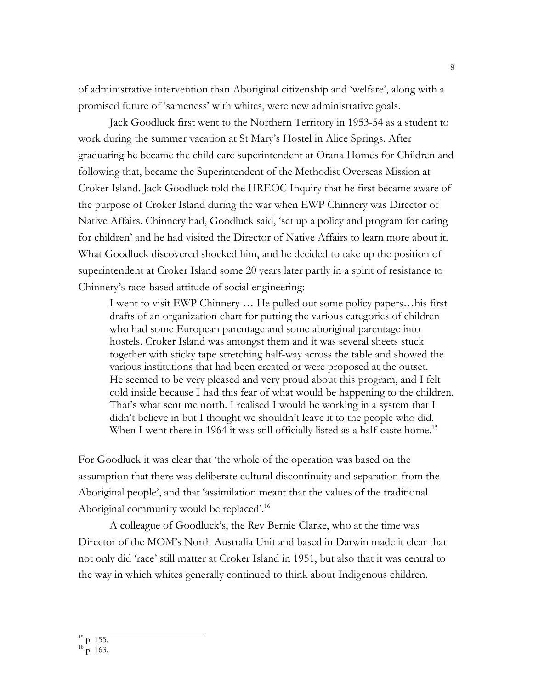of administrative intervention than Aboriginal citizenship and 'welfare', along with a promised future of 'sameness' with whites, were new administrative goals.

Jack Goodluck first went to the Northern Territory in 1953-54 as a student to work during the summer vacation at St Mary's Hostel in Alice Springs. After graduating he became the child care superintendent at Orana Homes for Children and following that, became the Superintendent of the Methodist Overseas Mission at Croker Island. Jack Goodluck told the HREOC Inquiry that he first became aware of the purpose of Croker Island during the war when EWP Chinnery was Director of Native Affairs. Chinnery had, Goodluck said, 'set up a policy and program for caring for children' and he had visited the Director of Native Affairs to learn more about it. What Goodluck discovered shocked him, and he decided to take up the position of superintendent at Croker Island some 20 years later partly in a spirit of resistance to Chinnery's race-based attitude of social engineering:

I went to visit EWP Chinnery … He pulled out some policy papers…his first drafts of an organization chart for putting the various categories of children who had some European parentage and some aboriginal parentage into hostels. Croker Island was amongst them and it was several sheets stuck together with sticky tape stretching half-way across the table and showed the various institutions that had been created or were proposed at the outset. He seemed to be very pleased and very proud about this program, and I felt cold inside because I had this fear of what would be happening to the children. That's what sent me north. I realised I would be working in a system that I didn't believe in but I thought we shouldn't leave it to the people who did. When I went there in 1964 it was still officially listed as a half-caste home.<sup>15</sup>

For Goodluck it was clear that 'the whole of the operation was based on the assumption that there was deliberate cultural discontinuity and separation from the Aboriginal people', and that 'assimilation meant that the values of the traditional Aboriginal community would be replaced'.<sup>16</sup>

A colleague of Goodluck's, the Rev Bernie Clarke, who at the time was Director of the MOM's North Australia Unit and based in Darwin made it clear that not only did 'race' still matter at Croker Island in 1951, but also that it was central to the way in which whites generally continued to think about Indigenous children.

 $16$  p. 163.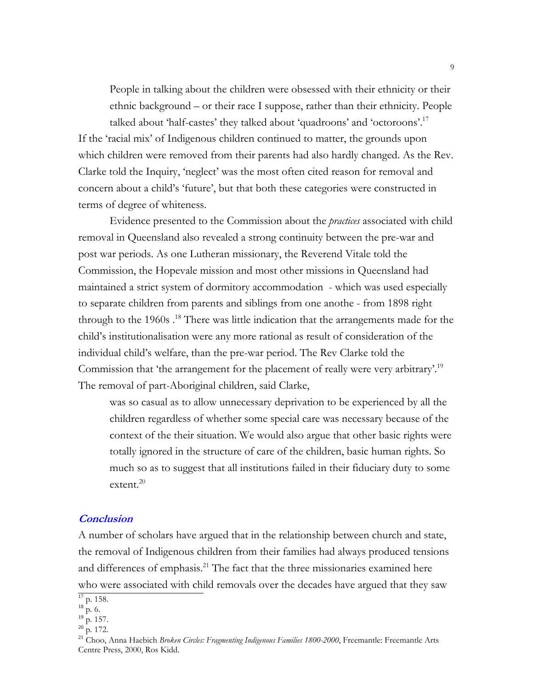People in talking about the children were obsessed with their ethnicity or their ethnic background – or their race I suppose, rather than their ethnicity. People talked about 'half-castes' they talked about 'quadroons' and 'octoroons'.17 If the 'racial mix' of Indigenous children continued to matter, the grounds upon which children were removed from their parents had also hardly changed. As the Rev. Clarke told the Inquiry, 'neglect' was the most often cited reason for removal and concern about a child's 'future', but that both these categories were constructed in terms of degree of whiteness.

Evidence presented to the Commission about the *practices* associated with child removal in Queensland also revealed a strong continuity between the pre-war and post war periods. As one Lutheran missionary, the Reverend Vitale told the Commission, the Hopevale mission and most other missions in Queensland had maintained a strict system of dormitory accommodation - which was used especially to separate children from parents and siblings from one anothe - from 1898 right through to the 1960s .<sup>18</sup> There was little indication that the arrangements made for the child's institutionalisation were any more rational as result of consideration of the individual child's welfare, than the pre-war period. The Rev Clarke told the Commission that 'the arrangement for the placement of really were very arbitrary'.<sup>19</sup> The removal of part-Aboriginal children, said Clarke,

was so casual as to allow unnecessary deprivation to be experienced by all the children regardless of whether some special care was necessary because of the context of the their situation. We would also argue that other basic rights were totally ignored in the structure of care of the children, basic human rights. So much so as to suggest that all institutions failed in their fiduciary duty to some extent.<sup>20</sup>

#### **Conclusion**

A number of scholars have argued that in the relationship between church and state, the removal of Indigenous children from their families had always produced tensions and differences of emphasis.<sup>21</sup> The fact that the three missionaries examined here who were associated with child removals over the decades have argued that they saw

 $17$  p. 158.

 $18$  p. 6.

 $^{19}$  p. 157.

 $^{20}$  p. 172.

<sup>&</sup>lt;sup>21</sup> Choo, Anna Haebich *Broken Circles: Fragmenting Indigenous Families 1800-2000*, Freemantle: Freemantle Arts Centre Press, 2000, Ros Kidd.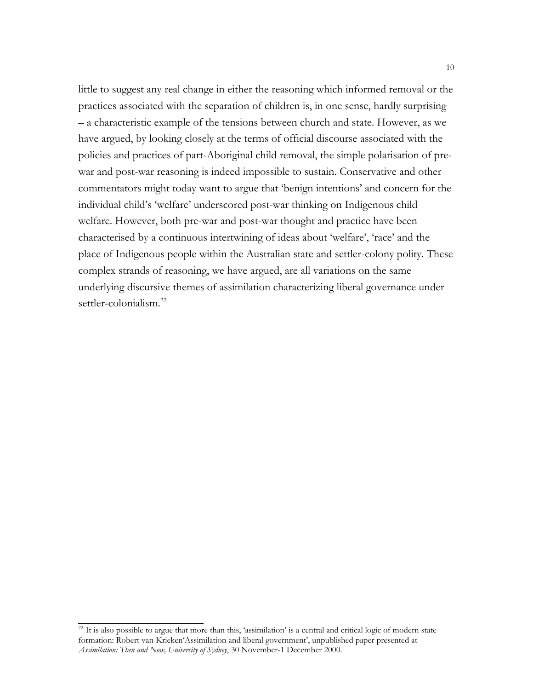little to suggest any real change in either the reasoning which informed removal or the practices associated with the separation of children is, in one sense, hardly surprising – a characteristic example of the tensions between church and state. However, as we have argued, by looking closely at the terms of official discourse associated with the policies and practices of part-Aboriginal child removal, the simple polarisation of prewar and post-war reasoning is indeed impossible to sustain. Conservative and other commentators might today want to argue that 'benign intentions' and concern for the individual child's 'welfare' underscored post-war thinking on Indigenous child welfare. However, both pre-war and post-war thought and practice have been characterised by a continuous intertwining of ideas about 'welfare', 'race' and the place of Indigenous people within the Australian state and settler-colony polity. These complex strands of reasoning, we have argued, are all variations on the same underlying discursive themes of assimilation characterizing liberal governance under settler-colonialism.<sup>22</sup>

<sup>&</sup>lt;sup>22</sup> It is also possible to argue that more than this, 'assimilation' is a central and critical logic of modern state formation: Robert van Krieken'Assimilation and liberal government', unpublished paper presented at *Assimilation: Then and Now, University of Sydney*, 30 November-1 December 2000.